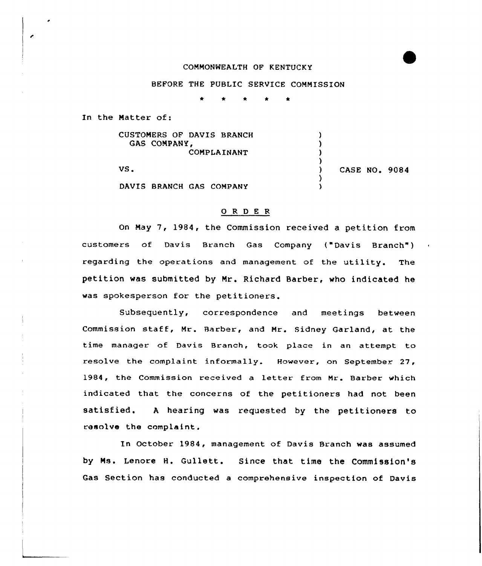## COMMONWEALTH OF KENTUCKY

## BEFORE THE PUBLIC SERVICE COMMISSION

In the Matter of:

 $\epsilon$ 

| CUSTOMERS OF DAVIS BRANCH<br>GAS COMPANY,<br>COMPLAINANT |                      |
|----------------------------------------------------------|----------------------|
| VS.                                                      | <b>CASE NO. 9084</b> |
| DAVIS BRANCH GAS COMPANY                                 |                      |

## 0 R <sup>D</sup> E R

On May 7, 1984, the Commission received a petition from customers of Davis Branch Gas Company ("Davis Branch" ) regarding the operations and management of the utility. The petition was submitted by Mr. Richard Barber, who indicated he was spokesperson for the petitioners.

Subsequently, correspondence and meetings between Commission staff, Mr. Barber, and Mr. Sidney Garland, at the time manager of Davis Branch, took place in an attempt to resolve the complaint informally. However, on September 27, 1984, the Commission received a letter from Mr. Barber which indicated that the concerns of the petitioners had not been satisfied. <sup>A</sup> hearing was requested by the petitioners to resolve the complaint.

In October 1984, management of Davis Branch was assumed by Ms. Lenore H. Gullett. Since that time the Commission's Gas Section has conducted a comprehensive inspection of Davis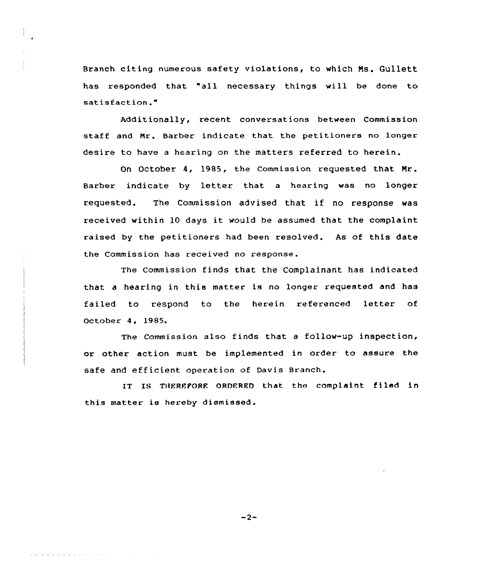Branch citing numerous safety violations, to which Ns. Gullett has responded that "all necessary things will be done to satisfaction."

Additionally, recent conversations between Commission staff and Nr. Barber indicate that the petitioners no longer desire to have a hearing on the matters referred to herein.

On October 4, 1985, the Commission requested that Mr. Barber indicate by letter that <sup>a</sup> hearing was no longer requested. The Commission advised that if no response was received within <sup>10</sup> days it would be assumed that the complaint raised by the petitioners had been resolved. As of this date the Commission has received no response.

The Commission finds that the Complainant has indicated that <sup>a</sup> hearing in this matter is no longer requested and has failed to respond to the herein referenced letter of October 4, 1985.

The Commission also finds that a follow-up inspection, or other action must be implemented in order to assure the safe and efficient operation of Davis Branch.

IT IS THEREPORE ORDERED that the complaint filed in this matter is hereby dismissed.

 $-2-$ 

المتحدث والمحامل والمتحدث والمتحدث والمتحدث